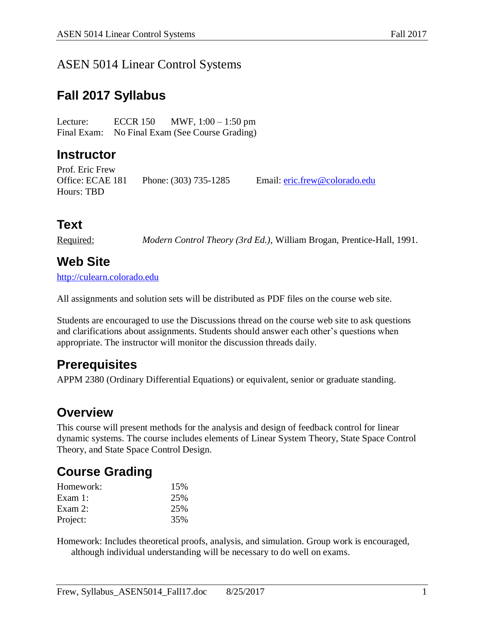#### ASEN 5014 Linear Control Systems

## **Fall 2017 Syllabus**

Lecture: ECCR 150 MWF, 1:00 – 1:50 pm Final Exam: No Final Exam (See Course Grading)

#### **Instructor**

Prof. Eric Frew Office: ECAE 181 Phone: (303) 735-1285 Email: [eric.frew@colorado.edu](mailto:eric.frew@colorado.edu) Hours: TBD

# **Text**

Required: *Modern Control Theory (3rd Ed.)*, William Brogan, Prentice-Hall, 1991.

### **Web Site**

[http://culearn.colorado.edu](http://culearn.colorado.edu/)

All assignments and solution sets will be distributed as PDF files on the course web site.

Students are encouraged to use the Discussions thread on the course web site to ask questions and clarifications about assignments. Students should answer each other's questions when appropriate. The instructor will monitor the discussion threads daily.

### **Prerequisites**

APPM 2380 (Ordinary Differential Equations) or equivalent, senior or graduate standing.

### **Overview**

This course will present methods for the analysis and design of feedback control for linear dynamic systems. The course includes elements of Linear System Theory, State Space Control Theory, and State Space Control Design.

### **Course Grading**

| Homework:  | 15% |
|------------|-----|
| Exam $1:$  | 25% |
| Exam $2$ : | 25% |
| Project:   | 35% |

Homework: Includes theoretical proofs, analysis, and simulation. Group work is encouraged, although individual understanding will be necessary to do well on exams.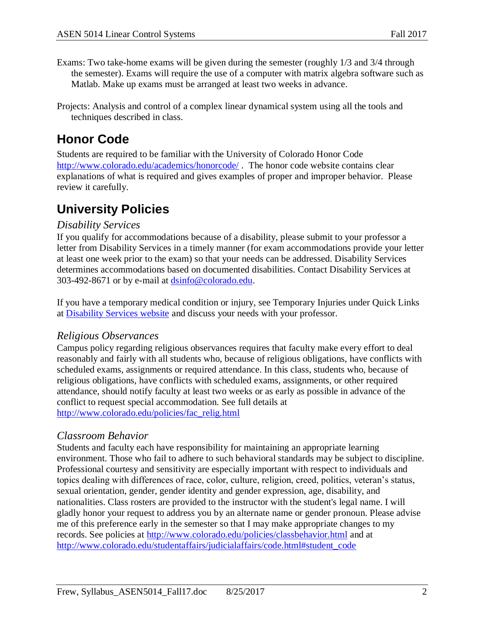- Exams: Two take-home exams will be given during the semester (roughly 1/3 and 3/4 through the semester). Exams will require the use of a computer with matrix algebra software such as Matlab. Make up exams must be arranged at least two weeks in advance.
- Projects: Analysis and control of a complex linear dynamical system using all the tools and techniques described in class.

# **Honor Code**

Students are required to be familiar with the University of Colorado Honor Code <http://www.colorado.edu/academics/honorcode/> . The honor code website contains clear explanations of what is required and gives examples of proper and improper behavior. Please review it carefully.

# **University Policies**

#### *Disability Services*

If you qualify for accommodations because of a disability, please submit to your professor a letter from Disability Services in a timely manner (for exam accommodations provide your letter at least one week prior to the exam) so that your needs can be addressed. Disability Services determines accommodations based on documented disabilities. Contact Disability Services at 303-492-8671 or by e-mail at [dsinfo@colorado.edu.](mailto:dsinfo@colorado.edu)

If you have a temporary medical condition or injury, see Temporary Injuries under Quick Links at [Disability Services website](http://www.alumniconnections.com/links/link.cgi?l=3958265&h=12319&e=UCBI-20130104183129) and discuss your needs with your professor.

#### *Religious Observances*

Campus policy regarding religious observances requires that faculty make every effort to deal reasonably and fairly with all students who, because of religious obligations, have conflicts with scheduled exams, assignments or required attendance. In this class, students who, because of religious obligations, have conflicts with scheduled exams, assignments, or other required attendance, should notify faculty at least two weeks or as early as possible in advance of the conflict to request special accommodation. See full details at [http://www.colorado.edu/policies/fac\\_relig.html](http://www.alumniconnections.com/links/link.cgi?l=3958268&h=12319&e=UCBI-20130104183129)

#### *Classroom Behavior*

Students and faculty each have responsibility for maintaining an appropriate learning environment. Those who fail to adhere to such behavioral standards may be subject to discipline. Professional courtesy and sensitivity are especially important with respect to individuals and topics dealing with differences of race, color, culture, religion, creed, politics, veteran's status, sexual orientation, gender, gender identity and gender expression, age, disability, and nationalities. Class rosters are provided to the instructor with the student's legal name. I will gladly honor your request to address you by an alternate name or gender pronoun. Please advise me of this preference early in the semester so that I may make appropriate changes to my records. See policies at [http://www.colorado.edu/policies/classbehavior.html](http://www.alumniconnections.com/links/link.cgi?l=3958271&h=12319&e=UCBI-20130104183129) and at [http://www.colorado.edu/studentaffairs/judicialaffairs/code.html#student\\_code](http://www.alumniconnections.com/links/link.cgi?l=3958272&h=12319&e=UCBI-20130104183129)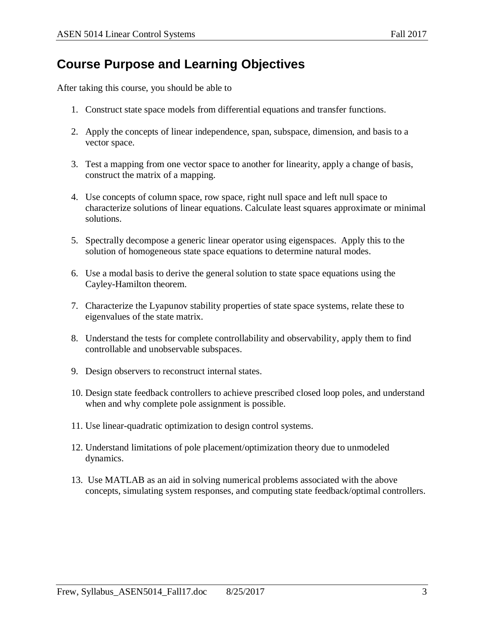# **Course Purpose and Learning Objectives**

After taking this course, you should be able to

- 1. Construct state space models from differential equations and transfer functions.
- 2. Apply the concepts of linear independence, span, subspace, dimension, and basis to a vector space.
- 3. Test a mapping from one vector space to another for linearity, apply a change of basis, construct the matrix of a mapping.
- 4. Use concepts of column space, row space, right null space and left null space to characterize solutions of linear equations. Calculate least squares approximate or minimal solutions.
- 5. Spectrally decompose a generic linear operator using eigenspaces. Apply this to the solution of homogeneous state space equations to determine natural modes.
- 6. Use a modal basis to derive the general solution to state space equations using the Cayley-Hamilton theorem.
- 7. Characterize the Lyapunov stability properties of state space systems, relate these to eigenvalues of the state matrix.
- 8. Understand the tests for complete controllability and observability, apply them to find controllable and unobservable subspaces.
- 9. Design observers to reconstruct internal states.
- 10. Design state feedback controllers to achieve prescribed closed loop poles, and understand when and why complete pole assignment is possible.
- 11. Use linear-quadratic optimization to design control systems.
- 12. Understand limitations of pole placement/optimization theory due to unmodeled dynamics.
- 13. Use MATLAB as an aid in solving numerical problems associated with the above concepts, simulating system responses, and computing state feedback/optimal controllers.